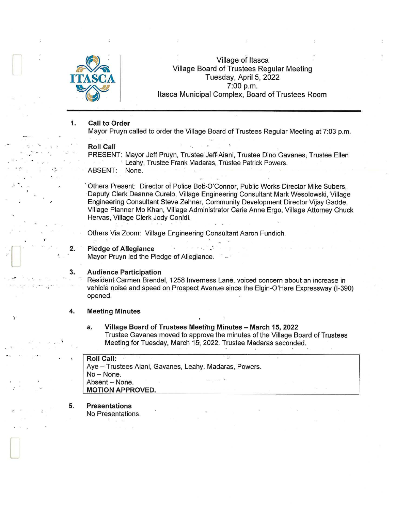

## Village of Itasca Village Board of Trustees Regular Meeting Tuesday, April 5, 2022 ASCA<br>7:00 p.m.<br>Itasca Municipal Complex, Board of Trustees Room

#### 1. Call to Order

Mayor Pruyn called to order the Village Board of Trustees Regular Meeting at 7:03 p.m.

### Roll Call

·- .... . . *,1."* 

 $\mathbf{r} = \begin{bmatrix} \mathbf{r} & \mathbf{r} & \mathbf{r} & \mathbf{r} \\ \mathbf{r} & \mathbf{r} & \mathbf{r} & \mathbf{r} \end{bmatrix}$ 

2.

.•. -

..

Þ

l

PRESENT: Mayor Jeff Pruyn, Trustee Jeff Aiani, Trustee Dino Gavanes; Trustee Ellen · Leahy, Trustee Frank Madaras, Trustee Patrick Powers. ABSENT: None.

Others Present: Director of Police Bob-O'Connor, Public Works Director Mike Subers, Deputy Clerk Deanne Curelo, Village Engineering Consultant Mark Wesolowski, Village Engineering Consultant Steve Zehner, Community Development Director Vijay Gadde, Village Planner Mo Khan, Village Administrator Carie Anne Ergo, Village Attorney Chuck Hervas, Village Clerk Jody Conidi.

Others Via Zoom: Village Engineering· Consultant Aaron Fundich.

### Pledge of Allegiance

Mayor Pruyn led the Pledge of Allegiance.

#### 3. Audience Participation

Resident Carmen Brendel, 1258 lnverriess Lane, voiced concern about an increase in vehicle noise and speed on Prospect Avenue since the Elgin-O'Hare Expressway (1-390) opened.

#### 4. Meeting Minutes

### a. Village Board of Trustees Meeting Minutes - March 15, 2022 Trustee Gavanes moved to approve the minutes of the Village Board of Trustees Meeting for Tuesday, March 15, 2022. Trustee Madaras seconded.

Roll Call: Aye - Trustees Aiani, Gavanes, Leahy, Madaras, Powers. No-None. Absent - None. MOTION APPROVED.

#### 5. Presentations

No Presentations.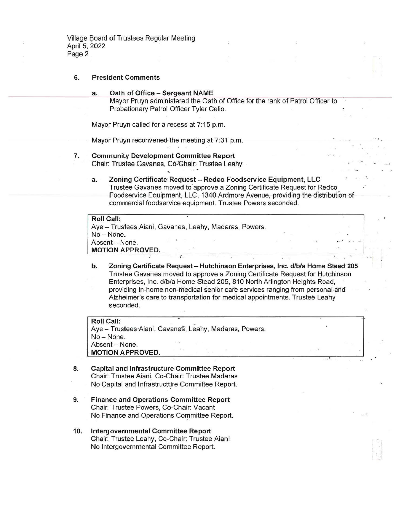Village Board of Trustees Regular Meeting April 5, 2022 Page 2

### 6. President Comments

a. Oath of Office - Sergeant NAME<br>Mayor Pruyn administered the Oath of Office for the rank of Patrol Officer to Probationary Patrol Officer Tyler Celia.

Mayor Pruyn called for a recess at 7:15 p.m.

Mayor Pruyn reconvened-the meeting at 7:31 p.m.

 $\sim$ 

- 7. Community Development Committee Report Chair: Trustee Gavanes, Co-Ghair: Trustee Leahy
	- a. Zoning Certificate Request Redco Foodservice Equipment, LLC Trustee Gavanes moved to approve a Zoning Certificate Request for Redco Foodservice Equipment, LLC, 1340 Ardmore Avenue, providing the distribution of commercial foodservice equipment. Trustee Powers seconded.

 $\lambda$ 

## Roll Call: Aye - Trustees Aiani, Gavanes, Leahy, Madaras, Powers. No- None. Absent - None. **MOTION APPROVED.**

b. Zoning Certificate Request - Hutchinson Enterprises, Inc. d/b/a Home Stead 205 Trustee Gavanes moved to approve a Zoning Certificate Request for Hutchinson Enterprises, Inc. d/b/a Home Stead 205, 810 North Arlington Heights Road, providing in-home non-medical senior care services ranging from personal-and Alzheimer's care to transportation for medical appointments. Trustee Leahy seconded.

Roll Call: Aye - Trustees Aiani, Gavanes, Leahy, Madaras, Powers. No- None. Absent - None. MOTION APPROVED.

- 8. Capital and Infrastructure Committee Report Chair: Trustee Aiani, Co-Chair: Trustee Madaras No Capital and Infrastructure Committee Report.
- 9. Finance and Operations Committee Report Chair: Trustee Powers, Co-Chair: Vacant No Finance and Operations Committee Report.
- 10. Intergovernmental Committee Report Chair: Trustee Leahy, Co-Chair: Trustee Aiani No Intergovernmental Committee Report.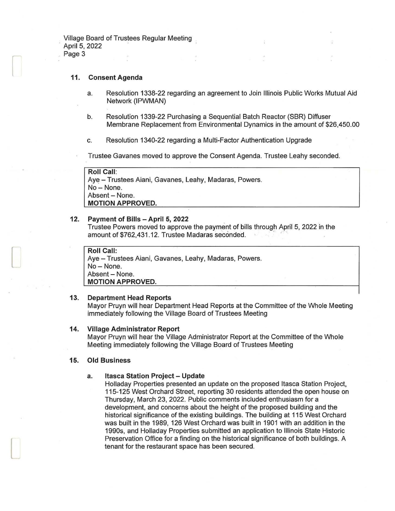Village Board of Trustees Regular Meeting April 5, 2022 Page 3

#### 11. Consent Agenda

- a. Resolution 1338-22 regarding an agreement to Join Illinois Public Works Mutual Aid Network (IPWMAN)
- b. Resolution 1339-22 Purchasing a Sequential Batch Reactor (SBR) Diffuser Membrane Replacement from Environmental Dynamics in the amount of \$26,450.00
- c. Resolution 1340-22 regarding a Multi-Factor Authentication Upgrade

Trustee Gavanes moved to approve the Consent Agenda. Trustee Leahy seconded.

Roll Call: Aye - Trustees Aiani, Gavanes, Leahy, Madaras, Powers. No-None. Absent - None. MOTION APPROVED.

#### 12. Payment of Bills - April 5, 2022

Trustee Powers moved to approve the payment of bills through April 5, 2022 in the amount of \$762,431.12. Trustee Madaras seconded. .

# Roll Call:

 $\Box$ 

l

Aye - Trustees Aiani, Gavanes, Leahy, Madaras, Powers. No-None. Absent - None. MOTION APPROVED.

#### 13. Department Head Reports

Mayor Pruyn will hear Department Head Reports at the Committee of the Whole Meeting immediately following the Village Board of Trustees Meeting

#### 14. Village Administrator Report

Mayor Pruyn will hear the Village Administrator Report at the Committee of the Whole Meeting immediately following the Village Board of Trustees Meeting

#### 15. Old Business

### a. Itasca Station Project - Update

Holladay Properties presented an update on the proposed Itasca Station Project, 115-125 West Orchard Street, reporting 30 residents attended the open house on Thursday, March 23, 2022. Public comments included enthusiasm for a development, and concerns about the height of the proposed building and the historical significance of the existing buildings. The building at 115 West Orchard was built in the 1989, 126 West Orchard was built in 1901 with an addition in the 1990s, and Holladay Properties submitted an application to Illinois State Historic Preservation Office for a finding on the historical significance of both buildings. A tenant for the restaurant space has been secured.